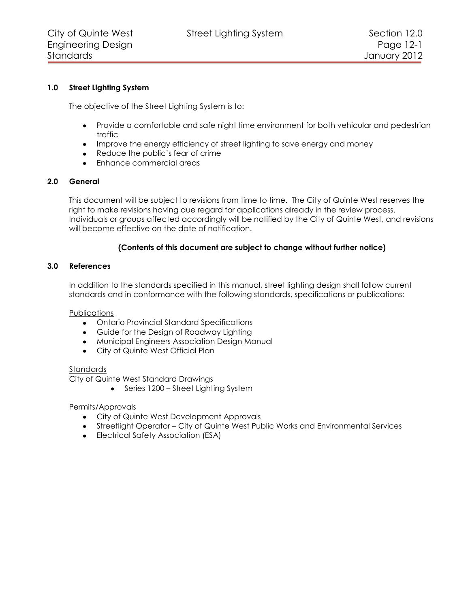# **1.0 Street Lighting System**

The objective of the Street Lighting System is to:

- Provide a comfortable and safe night time environment for both vehicular and pedestrian traffic
- Improve the energy efficiency of street lighting to save energy and money
- Reduce the public's fear of crime
- Enhance commercial areas

# **2.0 General**

This document will be subject to revisions from time to time. The City of Quinte West reserves the right to make revisions having due regard for applications already in the review process. Individuals or groups affected accordingly will be notified by the City of Quinte West, and revisions will become effective on the date of notification.

# **(Contents of this document are subject to change without further notice)**

#### **3.0 References**

In addition to the standards specified in this manual, street lighting design shall follow current standards and in conformance with the following standards, specifications or publications:

#### **Publications**

- Ontario Provincial Standard Specifications
- Guide for the Design of Roadway Lighting
- Municipal Engineers Association Design Manual
- City of Quinte West Official Plan

#### Standards

City of Quinte West Standard Drawings

• Series 1200 – Street Lighting System

#### Permits/Approvals

- City of Quinte West Development Approvals
- Streetlight Operator City of Quinte West Public Works and Environmental Services
- Electrical Safety Association (ESA)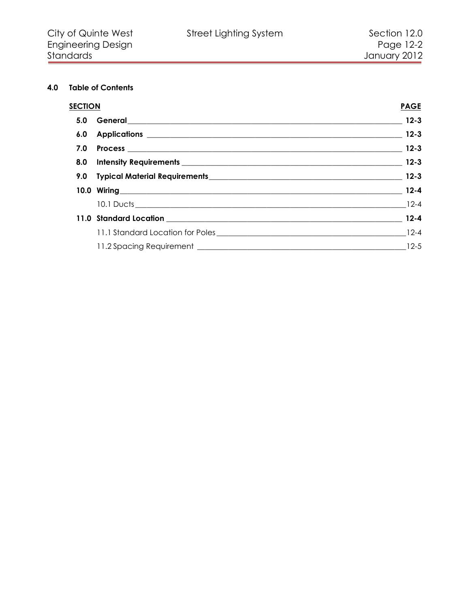# **4.0 Table of Contents**

| S <u>ection</u> |                  | <b>PAGE</b> |
|-----------------|------------------|-------------|
|                 |                  |             |
|                 |                  |             |
|                 |                  |             |
|                 |                  |             |
|                 |                  |             |
|                 | 10.0 Wiring 12-4 |             |
|                 |                  |             |
|                 |                  |             |
|                 |                  |             |
|                 |                  |             |
|                 |                  |             |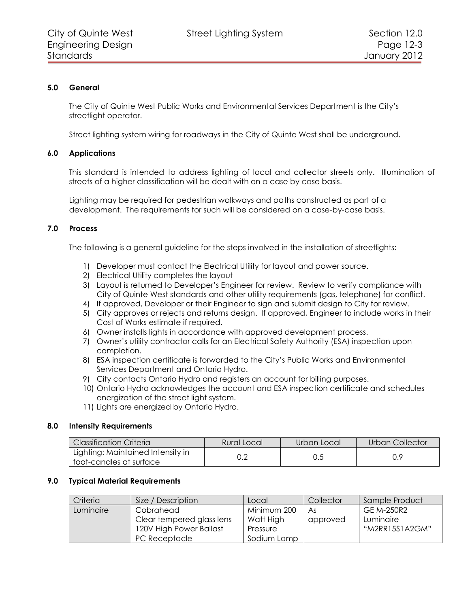# **5.0 General**

<span id="page-2-0"></span>The City of Quinte West Public Works and Environmental Services Department is the City's streetlight operator.

<span id="page-2-1"></span>Street lighting system wiring for roadways in the City of Quinte West shall be underground.

#### **6.0 Applications**

This standard is intended to address lighting of local and collector streets only. Illumination of streets of a higher classification will be dealt with on a case by case basis.

Lighting may be required for pedestrian walkways and paths constructed as part of a development. The requirements for such will be considered on a case-by-case basis.

#### **7.0 Process**

<span id="page-2-2"></span>The following is a general guideline for the steps involved in the installation of streetlights:

- 1) Developer must contact the Electrical Utility for layout and power source.
- 2) Electrical Utility completes the layout
- 3) Layout is returned to Developer's Engineer for review. Review to verify compliance with City of Quinte West standards and other utility requirements (gas, telephone) for conflict.
- 4) If approved, Developer or their Engineer to sign and submit design to City for review.
- 5) City approves or rejects and returns design. If approved, Engineer to include works in their Cost of Works estimate if required.
- 6) Owner installs lights in accordance with approved development process.
- 7) Owner's utility contractor calls for an Electrical Safety Authority (ESA) inspection upon completion.
- 8) ESA inspection certificate is forwarded to the City's Public Works and Environmental Services Department and Ontario Hydro.
- 9) City contacts Ontario Hydro and registers an account for billing purposes.
- 10) Ontario Hydro acknowledges the account and ESA inspection certificate and schedules energization of the street light system.
- 11) Lights are energized by Ontario Hydro.

#### **8.0 Intensity Requirements**

<span id="page-2-3"></span>

| <b>Classification Criteria</b>                               | Rural Local | Urban Local | Urban Collector |
|--------------------------------------------------------------|-------------|-------------|-----------------|
| Lighting: Maintained Intensity in<br>foot-candles at surface | 0.2         | U.5         |                 |

#### **9.0 Typical Material Requirements**

<span id="page-2-4"></span>

| Criteria  | Size / Description        | Local       | Collector | Sample Product |
|-----------|---------------------------|-------------|-----------|----------------|
| Luminaire | Cobrahead                 | Minimum 200 | As        | GE M-250R2     |
|           | Clear tempered glass lens | Watt High   | approved  | Luminaire      |
|           | 120V High Power Ballast   | Pressure    |           | "M2RR15S1A2GM" |
|           | PC Receptacle             | Sodium Lamp |           |                |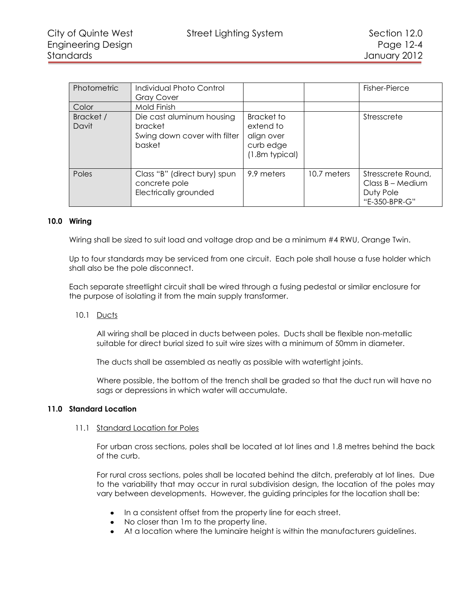| Photometric<br>Color | Individual Photo Control<br><b>Gray Cover</b><br>Mold Finish                   |                                                                             |             | Fisher-Pierce                                                          |
|----------------------|--------------------------------------------------------------------------------|-----------------------------------------------------------------------------|-------------|------------------------------------------------------------------------|
| Bracket /<br>Davit   | Die cast aluminum housing<br>bracket<br>Swing down cover with filter<br>basket | <b>Bracket to</b><br>extend to<br>align over<br>curb edge<br>(1.8m typical) |             | Stresscrete                                                            |
| Poles                | Class "B" (direct bury) spun<br>concrete pole<br>Electrically grounded         | 9.9 meters                                                                  | 10.7 meters | Stresscrete Round,<br>$Class B - Medium$<br>Duty Pole<br>"E-350-BPR-G" |

#### **10.0 Wiring**

<span id="page-3-0"></span>Wiring shall be sized to suit load and voltage drop and be a minimum #4 RWU, Orange Twin.

Up to four standards may be serviced from one circuit. Each pole shall house a fuse holder which shall also be the pole disconnect.

Each separate streetlight circuit shall be wired through a fusing pedestal or similar enclosure for the purpose of isolating it from the main supply transformer.

<span id="page-3-1"></span>10.1 Ducts

All wiring shall be placed in ducts between poles. Ducts shall be flexible non-metallic suitable for direct burial sized to suit wire sizes with a minimum of 50mm in diameter.

The ducts shall be assembled as neatly as possible with watertight joints.

Where possible, the bottom of the trench shall be graded so that the duct run will have no sags or depressions in which water will accumulate.

#### <span id="page-3-2"></span>**11.0 Standard Location**

#### <span id="page-3-3"></span>11.1 Standard Location for Poles

For urban cross sections, poles shall be located at lot lines and 1.8 metres behind the back of the curb.

For rural cross sections, poles shall be located behind the ditch, preferably at lot lines. Due to the variability that may occur in rural subdivision design, the location of the poles may vary between developments. However, the guiding principles for the location shall be:

- In a consistent offset from the property line for each street.
- No closer than 1m to the property line.
- At a location where the luminaire height is within the manufacturers guidelines.